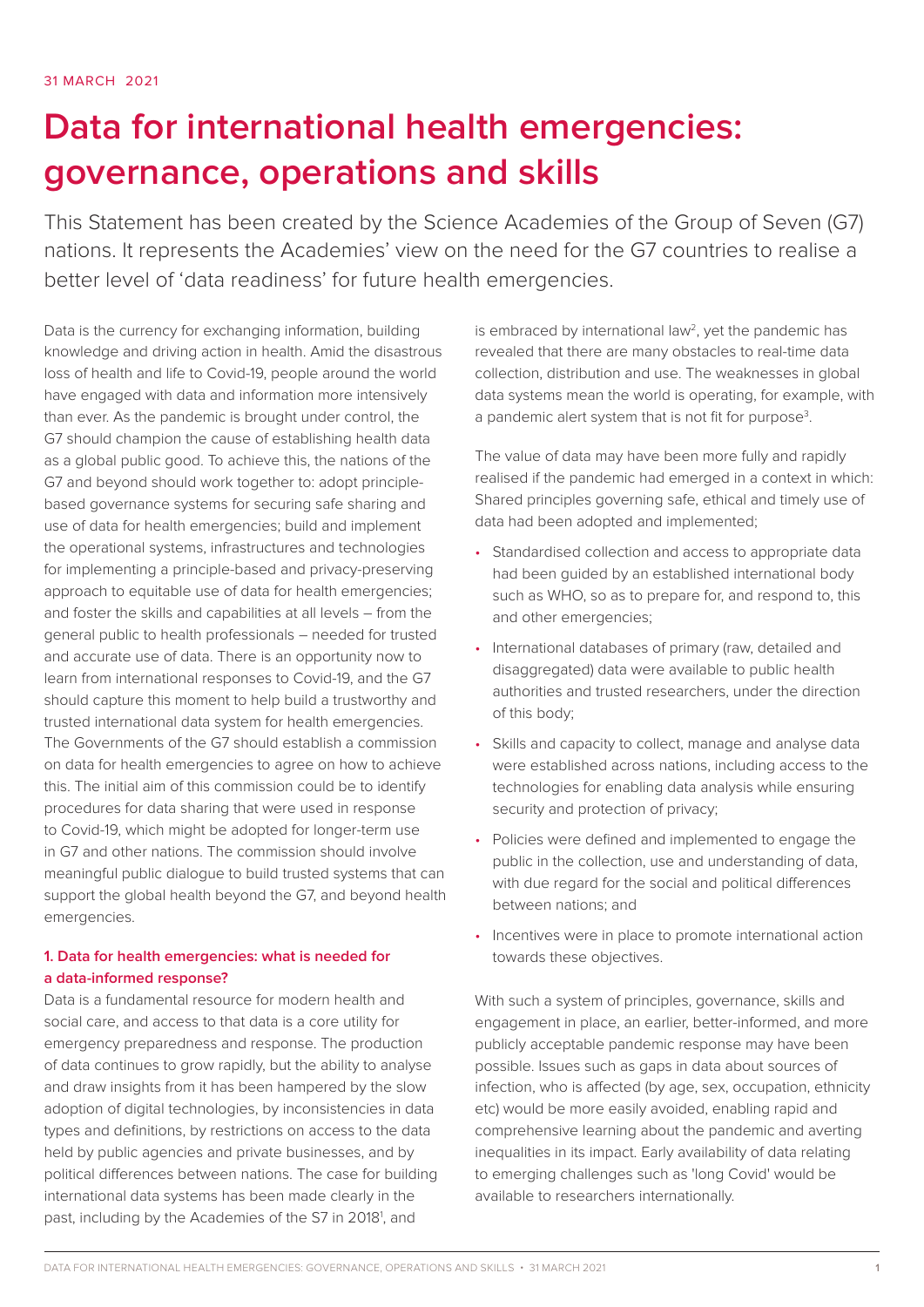# <span id="page-0-0"></span>**Data for international health emergencies: governance, operations and skills**

This Statement has been created by the Science Academies of the Group of Seven (G7) nations. It represents the Academies' view on the need for the G7 countries to realise a better level of 'data readiness' for future health emergencies.

Data is the currency for exchanging information, building knowledge and driving action in health. Amid the disastrous loss of health and life to Covid-19, people around the world have engaged with data and information more intensively than ever. As the pandemic is brought under control, the G7 should champion the cause of establishing health data as a global public good. To achieve this, the nations of the G7 and beyond should work together to: adopt principlebased governance systems for securing safe sharing and use of data for health emergencies; build and implement the operational systems, infrastructures and technologies for implementing a principle-based and privacy-preserving approach to equitable use of data for health emergencies; and foster the skills and capabilities at all levels – from the general public to health professionals – needed for trusted and accurate use of data. There is an opportunity now to learn from international responses to Covid-19, and the G7 should capture this moment to help build a trustworthy and trusted international data system for health emergencies. The Governments of the G7 should establish a commission on data for health emergencies to agree on how to achieve this. The initial aim of this commission could be to identify procedures for data sharing that were used in response to Covid-19, which might be adopted for longer-term use in G7 and other nations. The commission should involve meaningful public dialogue to build trusted systems that can support the global health beyond the G7, and beyond health emergencies.

### **1. Data for health emergencies: what is needed for a data-informed response?**

Data is a fundamental resource for modern health and social care, and access to that data is a core utility for emergency preparedness and response. The production of data continues to grow rapidly, but the ability to analyse and draw insights from it has been hampered by the slow adoption of digital technologies, by inconsistencies in data types and definitions, by restrictions on access to the data held by public agencies and private businesses, and by political differences between nations. The case for building international data systems has been made clearly in the past, including by the Academies of the S7 in 20[1](#page-5-0)8<sup>1</sup>, and

is embraced by international law<sup>2</sup>, yet the pandemic has revealed that there are many obstacles to real-time data collection, distribution and use. The weaknesses in global data systems mean the world is operating, for example, with a pandemic alert system that is not fit for purpose<sup>3</sup>.

The value of data may have been more fully and rapidly realised if the pandemic had emerged in a context in which: Shared principles governing safe, ethical and timely use of data had been adopted and implemented;

- Standardised collection and access to appropriate data had been guided by an established international body such as WHO, so as to prepare for, and respond to, this and other emergencies;
- International databases of primary (raw, detailed and disaggregated) data were available to public health authorities and trusted researchers, under the direction of this body;
- Skills and capacity to collect, manage and analyse data were established across nations, including access to the technologies for enabling data analysis while ensuring security and protection of privacy;
- Policies were defined and implemented to engage the public in the collection, use and understanding of data, with due regard for the social and political differences between nations; and
- Incentives were in place to promote international action towards these objectives.

With such a system of principles, governance, skills and engagement in place, an earlier, better-informed, and more publicly acceptable pandemic response may have been possible. Issues such as gaps in data about sources of infection, who is affected (by age, sex, occupation, ethnicity etc) would be more easily avoided, enabling rapid and comprehensive learning about the pandemic and averting inequalities in its impact. Early availability of data relating to emerging challenges such as 'long Covid' would be available to researchers internationally.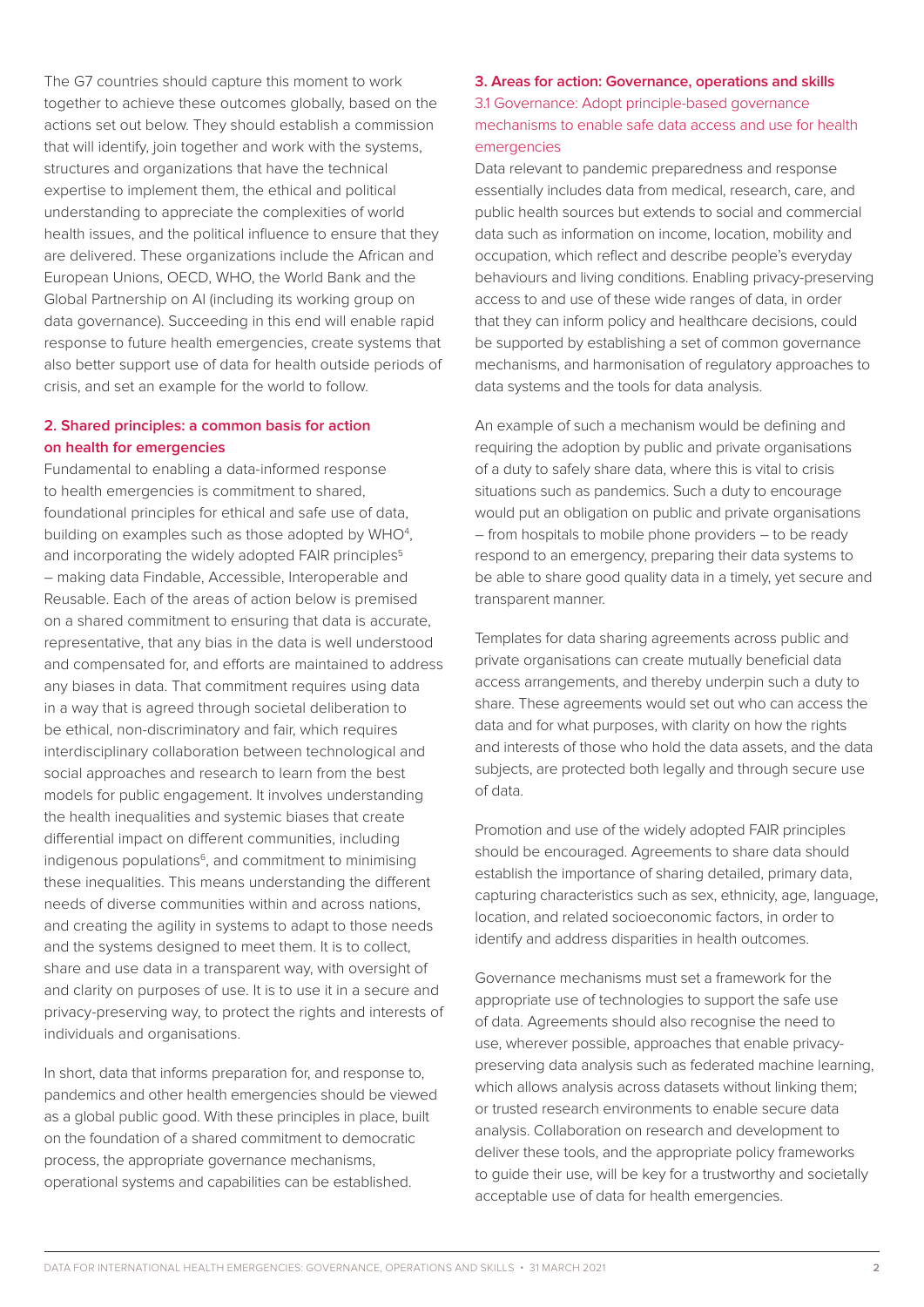<span id="page-1-0"></span>The G7 countries should capture this moment to work together to achieve these outcomes globally, based on the actions set out below. They should establish a commission that will identify, join together and work with the systems, structures and organizations that have the technical expertise to implement them, the ethical and political understanding to appreciate the complexities of world health issues, and the political influence to ensure that they are delivered. These organizations include the African and European Unions, OECD, WHO, the World Bank and the Global Partnership on AI (including its working group on data governance). Succeeding in this end will enable rapid response to future health emergencies, create systems that also better support use of data for health outside periods of crisis, and set an example for the world to follow.

### **2. Shared principles: a common basis for action on health for emergencies**

Fundamental to enabling a data-informed response to health emergencies is commitment to shared, foundational principles for ethical and safe use of data, building on examples such as those adopted by WHO<sup>[4](#page-5-0)</sup>, and incorporating the widely adopted FAIR principles<sup>5</sup> – making data Findable, Accessible, Interoperable and Reusable. Each of the areas of action below is premised on a shared commitment to ensuring that data is accurate, representative, that any bias in the data is well understood and compensated for, and efforts are maintained to address any biases in data. That commitment requires using data in a way that is agreed through societal deliberation to be ethical, non-discriminatory and fair, which requires interdisciplinary collaboration between technological and social approaches and research to learn from the best models for public engagement. It involves understanding the health inequalities and systemic biases that create differential impact on different communities, including indigenous populations $6$ , and commitment to minimising these inequalities. This means understanding the different needs of diverse communities within and across nations, and creating the agility in systems to adapt to those needs and the systems designed to meet them. It is to collect, share and use data in a transparent way, with oversight of and clarity on purposes of use. It is to use it in a secure and privacy-preserving way, to protect the rights and interests of individuals and organisations.

In short, data that informs preparation for, and response to, pandemics and other health emergencies should be viewed as a global public good. With these principles in place, built on the foundation of a shared commitment to democratic process, the appropriate governance mechanisms, operational systems and capabilities can be established.

### **3. Areas for action: Governance, operations and skills**  3.1 Governance: Adopt principle-based governance mechanisms to enable safe data access and use for health emergencies

Data relevant to pandemic preparedness and response essentially includes data from medical, research, care, and public health sources but extends to social and commercial data such as information on income, location, mobility and occupation, which reflect and describe people's everyday behaviours and living conditions. Enabling privacy-preserving access to and use of these wide ranges of data, in order that they can inform policy and healthcare decisions, could be supported by establishing a set of common governance mechanisms, and harmonisation of regulatory approaches to data systems and the tools for data analysis.

An example of such a mechanism would be defining and requiring the adoption by public and private organisations of a duty to safely share data, where this is vital to crisis situations such as pandemics. Such a duty to encourage would put an obligation on public and private organisations – from hospitals to mobile phone providers – to be ready respond to an emergency, preparing their data systems to be able to share good quality data in a timely, yet secure and transparent manner.

Templates for data sharing agreements across public and private organisations can create mutually beneficial data access arrangements, and thereby underpin such a duty to share. These agreements would set out who can access the data and for what purposes, with clarity on how the rights and interests of those who hold the data assets, and the data subjects, are protected both legally and through secure use of data.

Promotion and use of the widely adopted FAIR principles should be encouraged. Agreements to share data should establish the importance of sharing detailed, primary data, capturing characteristics such as sex, ethnicity, age, language, location, and related socioeconomic factors, in order to identify and address disparities in health outcomes.

Governance mechanisms must set a framework for the appropriate use of technologies to support the safe use of data. Agreements should also recognise the need to use, wherever possible, approaches that enable privacypreserving data analysis such as federated machine learning, which allows analysis across datasets without linking them; or trusted research environments to enable secure data analysis. Collaboration on research and development to deliver these tools, and the appropriate policy frameworks to guide their use, will be key for a trustworthy and societally acceptable use of data for health emergencies.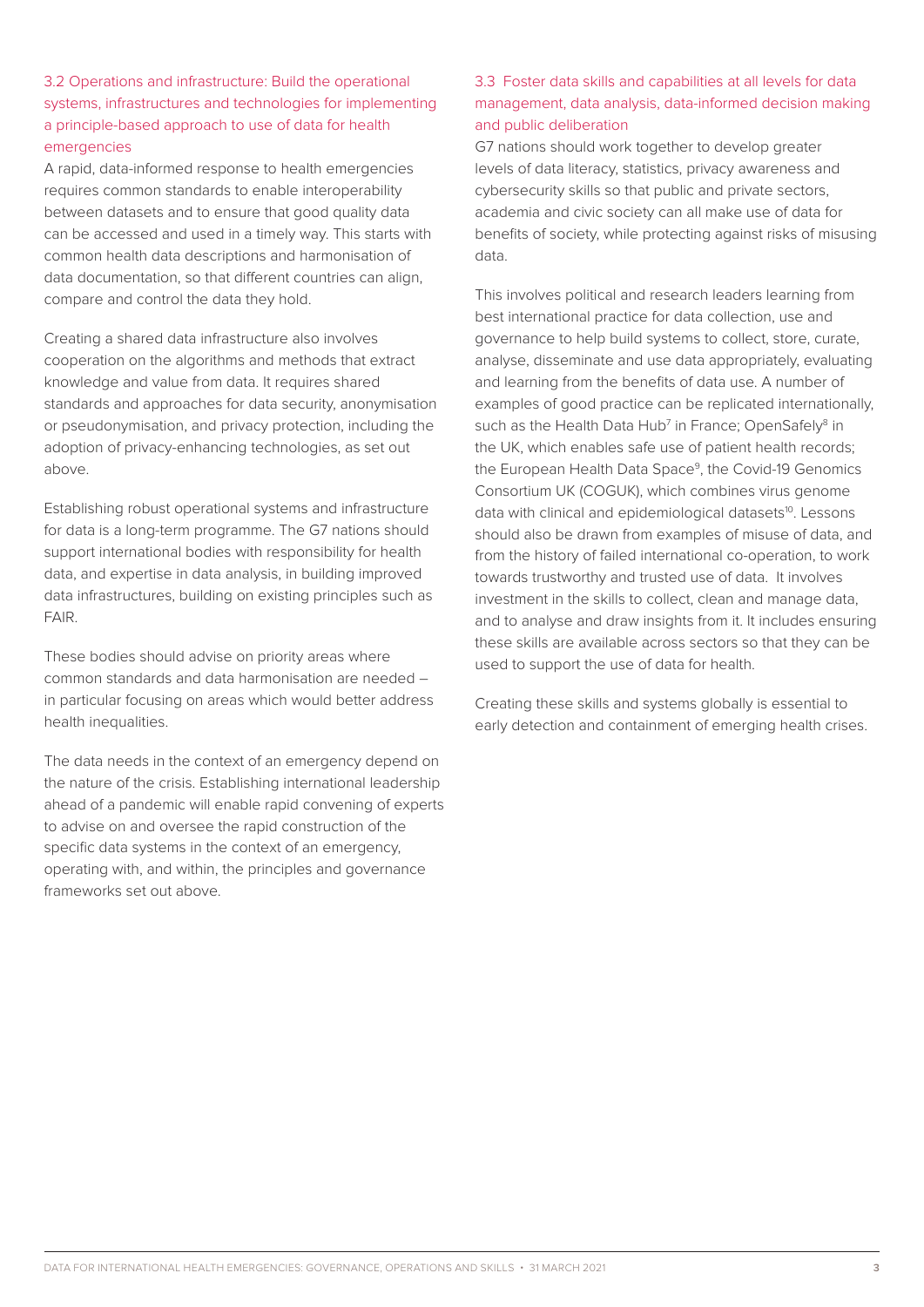### <span id="page-2-0"></span>3.2 Operations and infrastructure: Build the operational systems, infrastructures and technologies for implementing a principle-based approach to use of data for health emergencies

A rapid, data-informed response to health emergencies requires common standards to enable interoperability between datasets and to ensure that good quality data can be accessed and used in a timely way. This starts with common health data descriptions and harmonisation of data documentation, so that different countries can align, compare and control the data they hold.

Creating a shared data infrastructure also involves cooperation on the algorithms and methods that extract knowledge and value from data. It requires shared standards and approaches for data security, anonymisation or pseudonymisation, and privacy protection, including the adoption of privacy-enhancing technologies, as set out above.

Establishing robust operational systems and infrastructure for data is a long-term programme. The G7 nations should support international bodies with responsibility for health data, and expertise in data analysis, in building improved data infrastructures, building on existing principles such as FAIR.

These bodies should advise on priority areas where common standards and data harmonisation are needed – in particular focusing on areas which would better address health inequalities.

The data needs in the context of an emergency depend on the nature of the crisis. Establishing international leadership ahead of a pandemic will enable rapid convening of experts to advise on and oversee the rapid construction of the specific data systems in the context of an emergency, operating with, and within, the principles and governance frameworks set out above.

### 3.3 Foster data skills and capabilities at all levels for data management, data analysis, data-informed decision making and public deliberation

G7 nations should work together to develop greater levels of data literacy, statistics, privacy awareness and cybersecurity skills so that public and private sectors, academia and civic society can all make use of data for benefits of society, while protecting against risks of misusing data.

This involves political and research leaders learning from best international practice for data collection, use and governance to help build systems to collect, store, curate, analyse, disseminate and use data appropriately, evaluating and learning from the benefits of data use. A number of examples of good practice can be replicated internationally, such as the Health Data Hub<sup>7</sup> in France; OpenSafely<sup>8</sup> in the UK, which enables safe use of patient health records; the European Health Data Space<sup>[9](#page-5-0)</sup>, the Covid-19 Genomics Consortium UK (COGUK), which combines virus genome data with clinical and epidemiological datasets<sup>[10](#page-5-0)</sup>. Lessons should also be drawn from examples of misuse of data, and from the history of failed international co-operation, to work towards trustworthy and trusted use of data. It involves investment in the skills to collect, clean and manage data, and to analyse and draw insights from it. It includes ensuring these skills are available across sectors so that they can be used to support the use of data for health.

Creating these skills and systems globally is essential to early detection and containment of emerging health crises.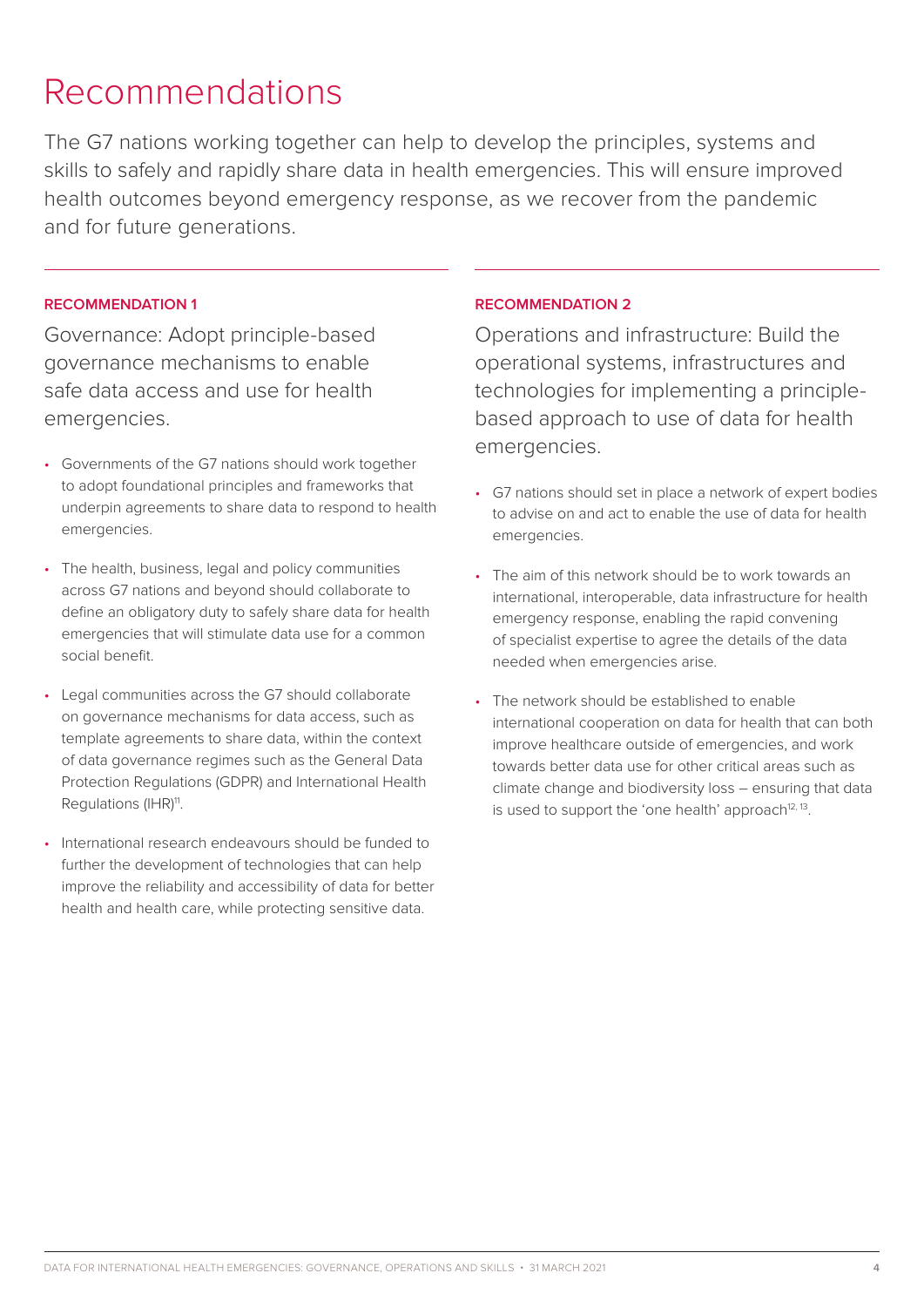## <span id="page-3-0"></span>Recommendations

The G7 nations working together can help to develop the principles, systems and skills to safely and rapidly share data in health emergencies. This will ensure improved health outcomes beyond emergency response, as we recover from the pandemic and for future generations.

### **RECOMMENDATION 1**

Governance: Adopt principle-based governance mechanisms to enable safe data access and use for health emergencies.

- Governments of the G7 nations should work together to adopt foundational principles and frameworks that underpin agreements to share data to respond to health emergencies.
- The health, business, legal and policy communities across G7 nations and beyond should collaborate to define an obligatory duty to safely share data for health emergencies that will stimulate data use for a common social benefit.
- Legal communities across the G7 should collaborate on governance mechanisms for data access, such as template agreements to share data, within the context of data governance regimes such as the General Data Protection Regulations (GDPR) and International Health Regulations (IHR)<sup>11</sup>.
- International research endeavours should be funded to further the development of technologies that can help improve the reliability and accessibility of data for better health and health care, while protecting sensitive data.

### **RECOMMENDATION 2**

Operations and infrastructure: Build the operational systems, infrastructures and technologies for implementing a principlebased approach to use of data for health emergencies.

- G7 nations should set in place a network of expert bodies to advise on and act to enable the use of data for health emergencies.
- The aim of this network should be to work towards an international, interoperable, data infrastructure for health emergency response, enabling the rapid convening of specialist expertise to agree the details of the data needed when emergencies arise.
- The network should be established to enable international cooperation on data for health that can both improve healthcare outside of emergencies, and work towards better data use for other critical areas such as climate change and biodiversity loss – ensuring that data is used to support the 'one health' approach $12, 13$ .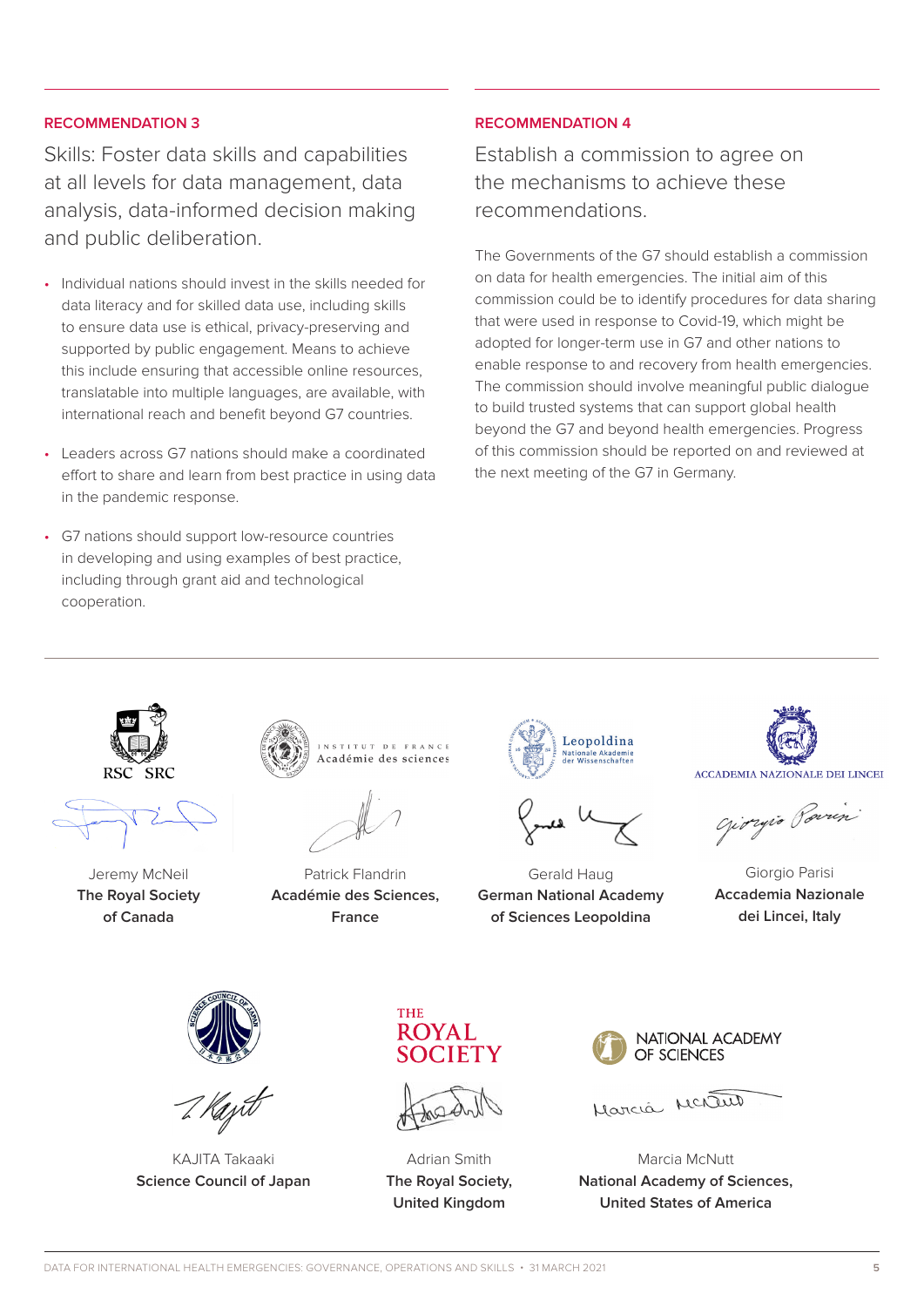### **RECOMMENDATION 3**

Skills: Foster data skills and capabilities at all levels for data management, data analysis, data-informed decision making and public deliberation.

- Individual nations should invest in the skills needed for data literacy and for skilled data use, including skills to ensure data use is ethical, privacy-preserving and supported by public engagement. Means to achieve this include ensuring that accessible online resources, translatable into multiple languages, are available, with international reach and benefit beyond G7 countries.
- Leaders across G7 nations should make a coordinated effort to share and learn from best practice in using data in the pandemic response.
- G7 nations should support low-resource countries in developing and using examples of best practice, including through grant aid and technological cooperation.

### **RECOMMENDATION 4**

Establish a commission to agree on the mechanisms to achieve these recommendations.

The Governments of the G7 should establish a commission on data for health emergencies. The initial aim of this commission could be to identify procedures for data sharing that were used in response to Covid-19, which might be adopted for longer-term use in G7 and other nations to enable response to and recovery from health emergencies. The commission should involve meaningful public dialogue to build trusted systems that can support global health beyond the G7 and beyond health emergencies. Progress of this commission should be reported on and reviewed at the next meeting of the G7 in Germany.



Jeremy McNeil **The Royal Society of Canada**



**ITHT DE FRANCE** .<br>Académie des sciences

Patrick Flandrin **Académie des Sciences, France**



Gerald Haug **German National Academy of Sciences Leopoldina**



Giorgio Parin

Giorgio Parisi **Accademia Nazionale dei Lincei, Italy**



KAJITA Takaaki **Science Council of Japan**



Adrian Smith **The Royal Society, United Kingdom**



Marcia Menture

Marcia McNutt **National Academy of Sciences, United States of America**